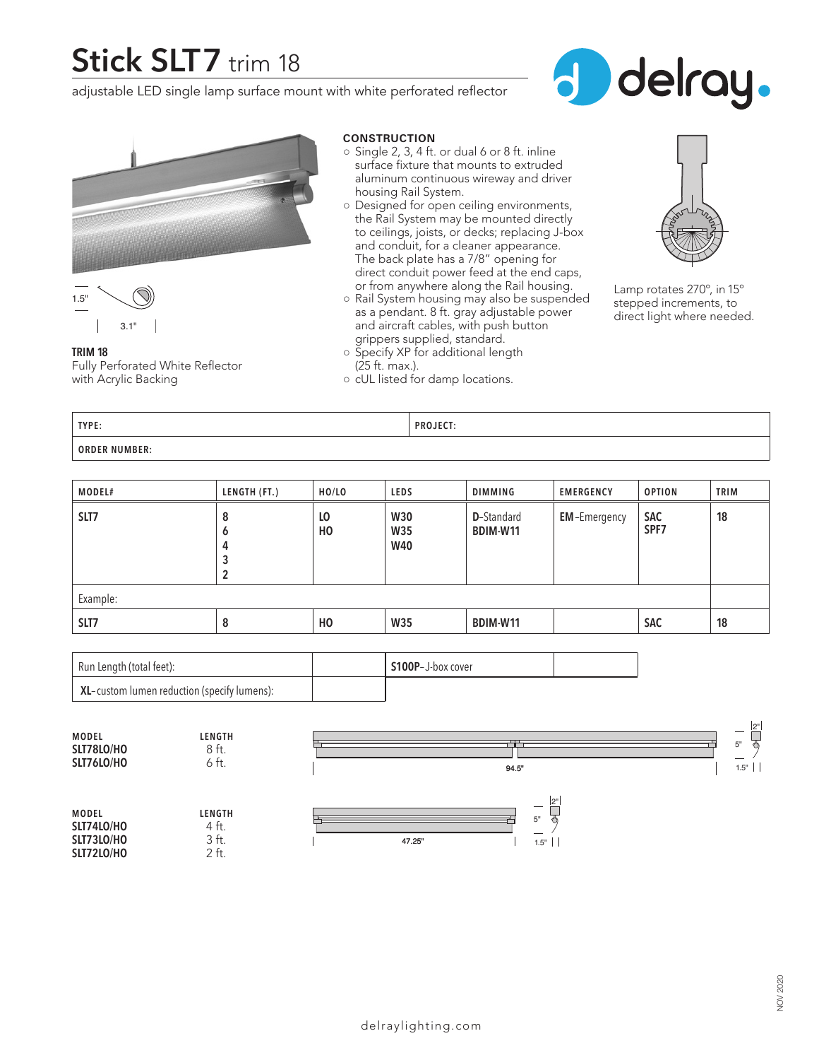# **Stick SLT7** trim 18

adjustable LED single lamp surface mount with white perforated reflector







**TRIM 18** Fully Perforated White Reflector with Acrylic Backing

## **CONSTRUCTION**

- $\circ$  Single 2, 3, 4 ft. or dual 6 or 8 ft. inline surface fixture that mounts to extruded aluminum continuous wireway and driver housing Rail System.
- Designed for open ceiling environments, the Rail System may be mounted directly to ceilings, joists, or decks; replacing J-box and conduit, for a cleaner appearance. The back plate has a 7/8" opening for direct conduit power feed at the end caps, or from anywhere along the Rail housing.
- Rail System housing may also be suspended as a pendant. 8 ft. gray adjustable power and aircraft cables, with push button grippers supplied, standard.



Lamp rotates 270º, in 15º stepped increments, to direct light where needed.

**TYPE: PROJECT: ORDER NUMBER:**

(25 ft. max.).

○ Specify XP for additional length

○ cUL listed for damp locations.

| <b>MODEL#</b> | LENGTH (FT.)          | HO/LO     | LEDS                            | DIMMING                        | <b>EMERGENCY</b>    | <b>OPTION</b>      | <b>TRIM</b> |
|---------------|-----------------------|-----------|---------------------------------|--------------------------------|---------------------|--------------------|-------------|
| SLT7          | 8<br>O<br>4<br>3<br>2 | LO<br>HO. | <b>W30</b><br>W35<br><b>W40</b> | <b>D</b> -Standard<br>BDIM-W11 | <b>EM-Emergency</b> | <b>SAC</b><br>SPF7 | 18          |
| Example:      |                       |           |                                 |                                |                     |                    |             |
| SLT7          | 8                     | HO.       | <b>W35</b>                      | BDIM-W11                       |                     | <b>SAC</b>         | 18          |

| Run Length (total feet):                                    | S100P-J-box cover |  |
|-------------------------------------------------------------|-------------------|--|
| $^{\mathrm{+}}$ XL-custom lumen reduction (specify lumens): |                   |  |